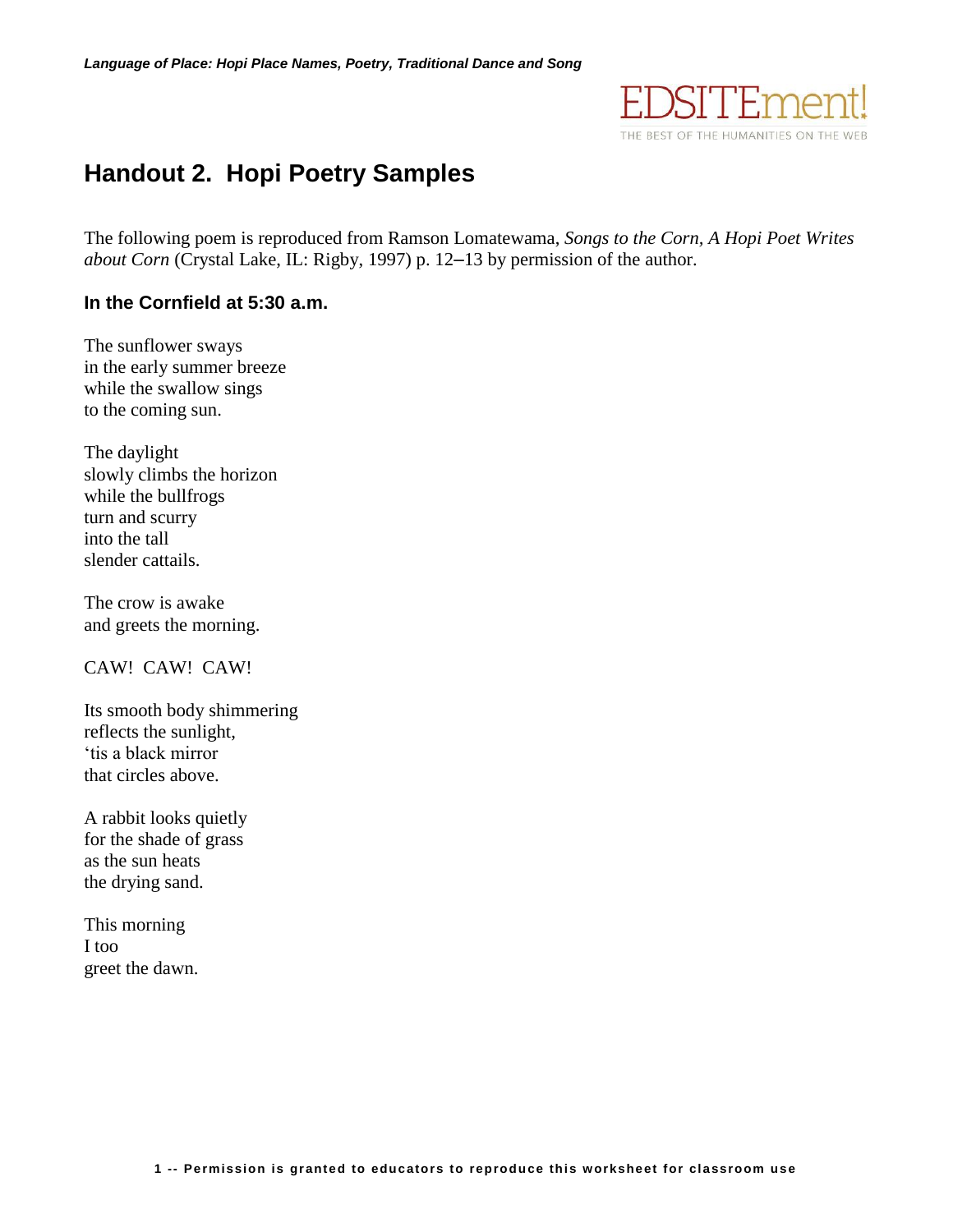

# **Handout 2. Hopi Poetry Samples**

The following poem is reproduced from Ramson Lomatewama, *Songs to the Corn, A Hopi Poet Writes about Corn* (Crystal Lake, IL: Rigby, 1997) p. 12–13 by permission of the author.

#### **In the Cornfield at 5:30 a.m.**

The sunflower sways in the early summer breeze while the swallow sings to the coming sun.

The daylight slowly climbs the horizon while the bullfrogs turn and scurry into the tall slender cattails.

The crow is awake and greets the morning.

CAW! CAW! CAW!

Its smooth body shimmering reflects the sunlight, 'tis a black mirror that circles above.

A rabbit looks quietly for the shade of grass as the sun heats the drying sand.

This morning I too greet the dawn.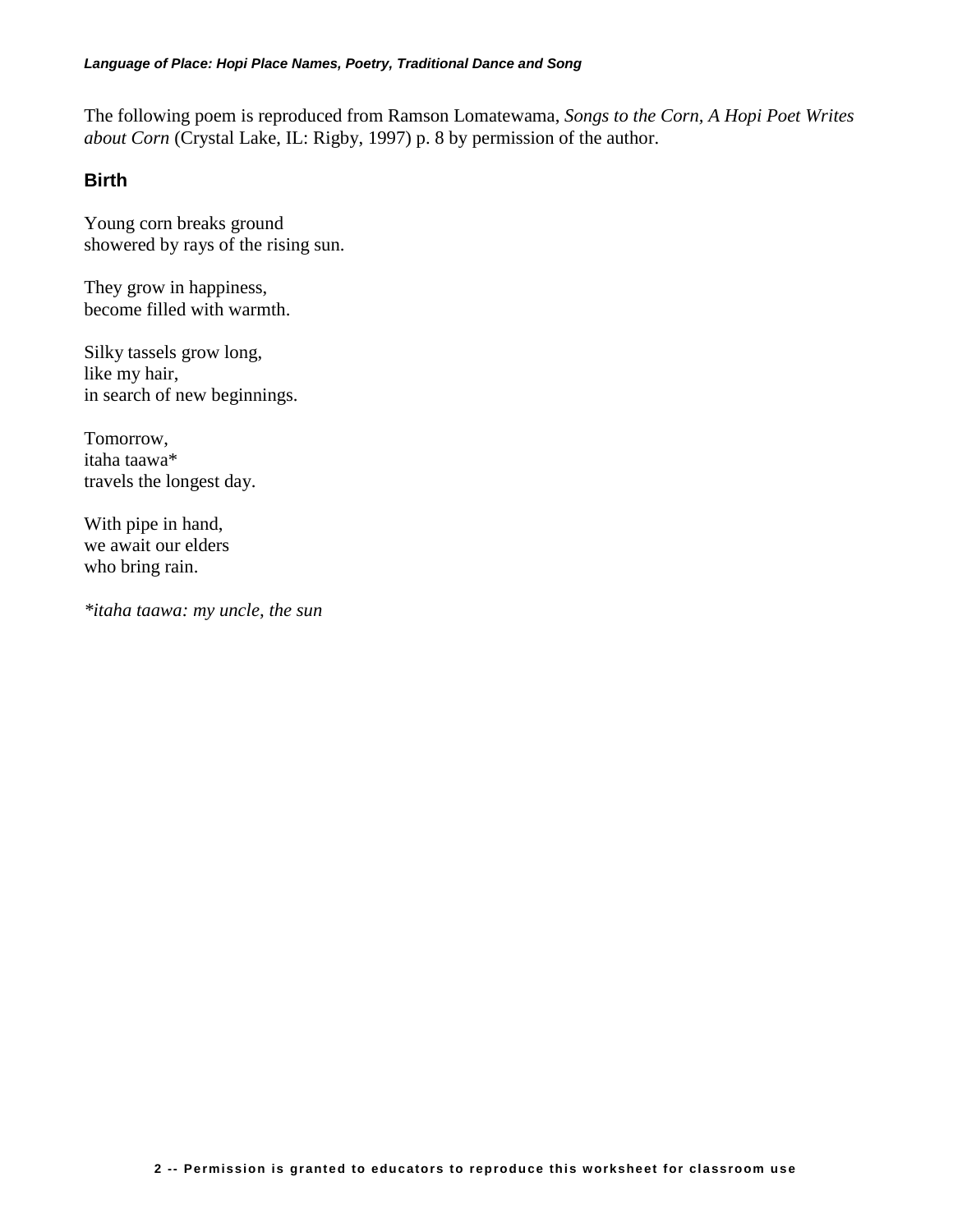The following poem is reproduced from Ramson Lomatewama, *Songs to the Corn, A Hopi Poet Writes about Corn* (Crystal Lake, IL: Rigby, 1997) p. 8 by permission of the author.

#### **Birth**

Young corn breaks ground showered by rays of the rising sun.

They grow in happiness, become filled with warmth.

Silky tassels grow long, like my hair, in search of new beginnings.

Tomorrow, itaha taawa\* travels the longest day.

With pipe in hand, we await our elders who bring rain.

*\*itaha taawa: my uncle, the sun*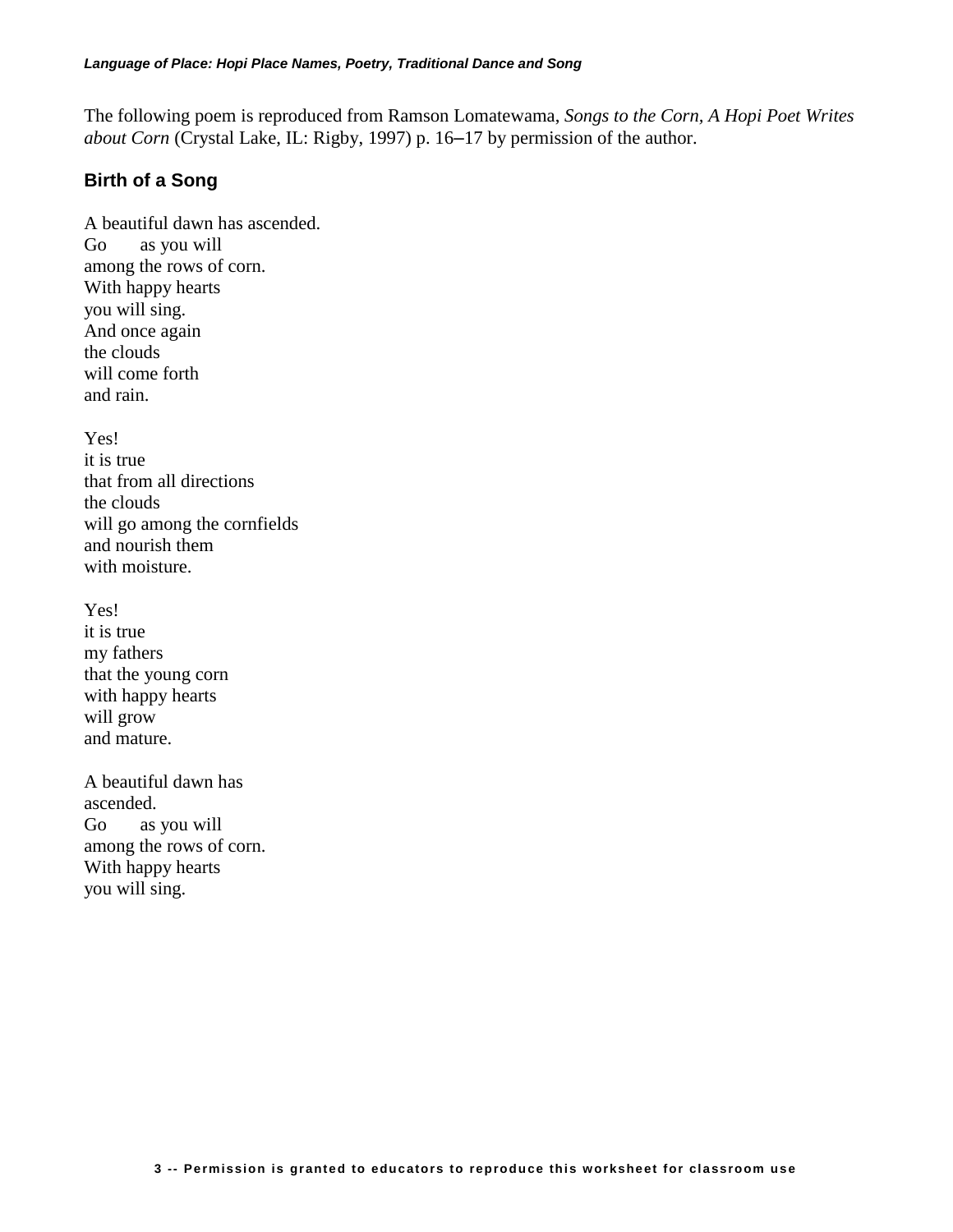The following poem is reproduced from Ramson Lomatewama, *Songs to the Corn, A Hopi Poet Writes about Corn* (Crystal Lake, IL: Rigby, 1997) p. 16–17 by permission of the author.

## **Birth of a Song**

A beautiful dawn has ascended. Go as you will among the rows of corn. With happy hearts you will sing. And once again the clouds will come forth and rain.

Yes! it is true that from all directions the clouds will go among the cornfields and nourish them with moisture.

Yes! it is true my fathers that the young corn with happy hearts will grow and mature.

A beautiful dawn has ascended. Go as you will among the rows of corn. With happy hearts you will sing.